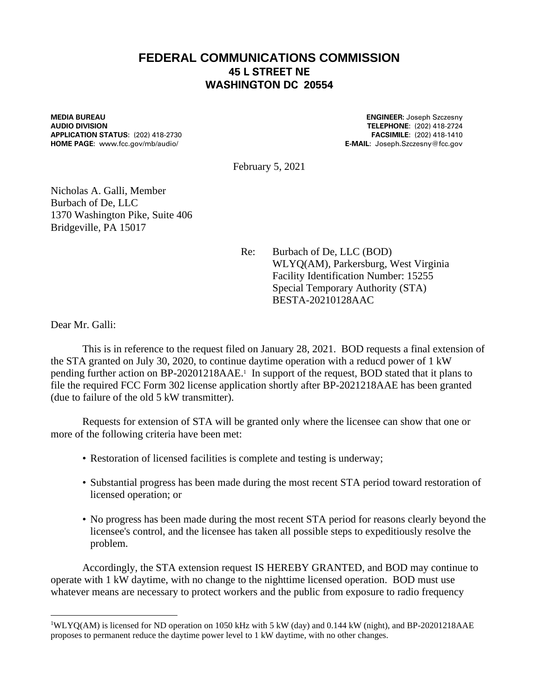## **FEDERAL COMMUNICATIONS COMMISSION 45 L STREET NE WASHINGTON DC 20554**

**MEDIA BUREAU ENGINEER:** Joseph Szczesny **APPLICATION STATUS**: (202) 418-2730 **FACSIMILE**: (202) 418-1410 **HOME PAGE**: www.fcc.gov/mb/audio/ **E-MAIL**: Joseph.Szczesny@fcc.gov

**AUDIO DIVISION TELEPHONE**: (202) 418-2724

February 5, 2021

Nicholas A. Galli, Member Burbach of De, LLC 1370 Washington Pike, Suite 406 Bridgeville, PA 15017

> Re: Burbach of De, LLC (BOD) WLYQ(AM), Parkersburg, West Virginia Facility Identification Number: 15255 Special Temporary Authority (STA) BESTA-20210128AAC

Dear Mr. Galli:

This is in reference to the request filed on January 28, 2021. BOD requests a final extension of the STA granted on July 30, 2020, to continue daytime operation with a reducd power of 1 kW pending further action on BP-20201218AAE. 1 In support of the request, BOD stated that it plans to file the required FCC Form 302 license application shortly after BP-2021218AAE has been granted (due to failure of the old 5 kW transmitter).

Requests for extension of STA will be granted only where the licensee can show that one or more of the following criteria have been met:

- Restoration of licensed facilities is complete and testing is underway;
- Substantial progress has been made during the most recent STA period toward restoration of licensed operation; or
- No progress has been made during the most recent STA period for reasons clearly beyond the licensee's control, and the licensee has taken all possible steps to expeditiously resolve the problem.

Accordingly, the STA extension request IS HEREBY GRANTED, and BOD may continue to operate with 1 kW daytime, with no change to the nighttime licensed operation. BOD must use whatever means are necessary to protect workers and the public from exposure to radio frequency

<sup>1</sup>WLYQ(AM) is licensed for ND operation on 1050 kHz with 5 kW (day) and 0.144 kW (night), and BP-20201218AAE proposes to permanent reduce the daytime power level to 1 kW daytime, with no other changes.